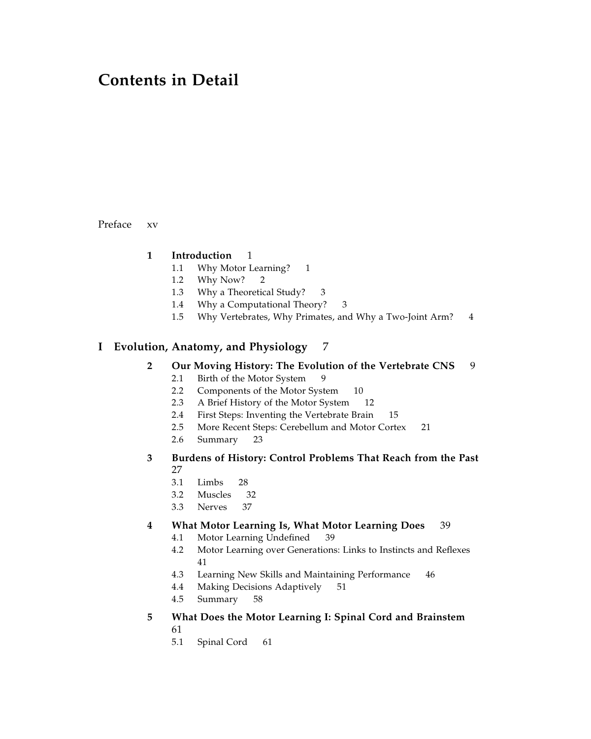# Contents in Detail

[Preface xv](#page--1-0)

# [1 Introduction](#page--1-0) 1

- 1.1 Why Motor Learning? 1
- 1.2 Why Now? 2
- 1.3 Why a Theoretical Study? 3
- 1.4 Why a Computational Theory? 3
- 1.5 Why Vertebrates, Why Primates, and Why a Two-Joint Arm? 4

# [I Evolution, Anatomy, and Physiology](#page--1-0) 7

### [2 Our Moving History: The Evolution of the Vertebrate CNS](#page--1-0) 9

- 2.1 Birth of the Motor System 9
- 2.2 Components of the Motor System 10
- 2.3 A Brief History of the Motor System 12
- 2.4 First Steps: Inventing the Vertebrate Brain 15
- 2.5 More Recent Steps: Cerebellum and Motor Cortex 21
- 2.6 Summary 23

### [3 Burdens of History: Control Problems That Reach from the Past](#page--1-0) 27

- 3.1 Limbs 28
- 3.2 Muscles 32
- 3.3 Nerves 37

# [4 What Motor Learning Is, What Motor Learning Does](#page--1-0) 39

- 4.1 Motor Learning Undefined 39
- 4.2 Motor Learning over Generations: Links to Instincts and Reflexes 41
- 4.3 Learning New Skills and Maintaining Performance 46
- 4.4 Making Decisions Adaptively 51
- 4.5 Summary 58
- [5 What Does the Motor Learning I: Spinal Cord and Brainstem](#page--1-0)
	- 61
	- 5.1 Spinal Cord 61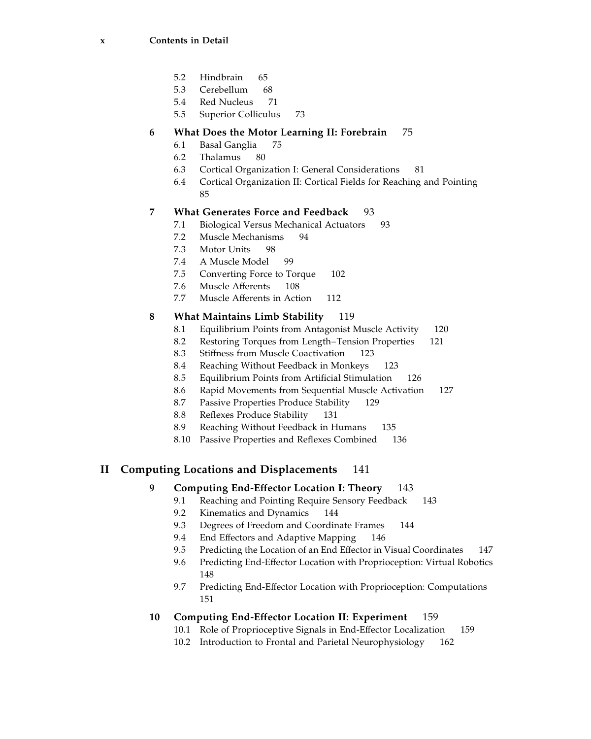- 5.2 Hindbrain 65
- 5.3 Cerebellum 68
- 5.4 Red Nucleus 71
- 5.5 Superior Colliculus 73

# [6 What Does the Motor Learning II: Forebrain](#page--1-0) 75

- 6.1 Basal Ganglia 75
- 6.2 Thalamus 80
- 6.3 Cortical Organization I: General Considerations 81
- 6.4 Cortical Organization II: Cortical Fields for Reaching and Pointing 85

# [7 What Generates Force and Feedback](#page--1-0) 93

- 7.1 Biological Versus Mechanical Actuators 93
- 7.2 Muscle Mechanisms 94
- 7.3 Motor Units 98
- 7.4 A Muscle Model 99
- 7.5 Converting Force to Torque 102
- 7.6 Muscle Afferents 108
- 7.7 Muscle Afferents in Action 112

# [8 What Maintains Limb Stability](#page--1-0) 119

- 8.1 Equilibrium Points from Antagonist Muscle Activity 120
- 8.2 Restoring Torques from Length–Tension Properties 121
- 8.3 Stiffness from Muscle Coactivation 123
- 8.4 Reaching Without Feedback in Monkeys 123
- 8.5 Equilibrium Points from Artificial Stimulation 126
- 8.6 Rapid Movements from Sequential Muscle Activation 127
- 8.7 Passive Properties Produce Stability 129
- 8.8 Reflexes Produce Stability 131
- 8.9 Reaching Without Feedback in Humans 135
- 8.10 Passive Properties and Reflexes Combined 136

# [II Computing Locations and Displacements](#page--1-0) 141

### [9 Computing End-Effector Location I: Theory](#page--1-0) 143

- 9.1 Reaching and Pointing Require Sensory Feedback 143
- 9.2 Kinematics and Dynamics 144
- 9.3 Degrees of Freedom and Coordinate Frames 144
- 9.4 End Effectors and Adaptive Mapping 146
- 9.5 Predicting the Location of an End Effector in Visual Coordinates 147
- 9.6 Predicting End-Effector Location with Proprioception: Virtual Robotics 148
- 9.7 Predicting End-Effector Location with Proprioception: Computations 151

# [10 Computing End-Effector](#page--1-0) Location II: Experiment 159

- 10.1 Role of Proprioceptive Signals in End-Effector Localization 159
- 10.2 Introduction to Frontal and Parietal Neurophysiology 162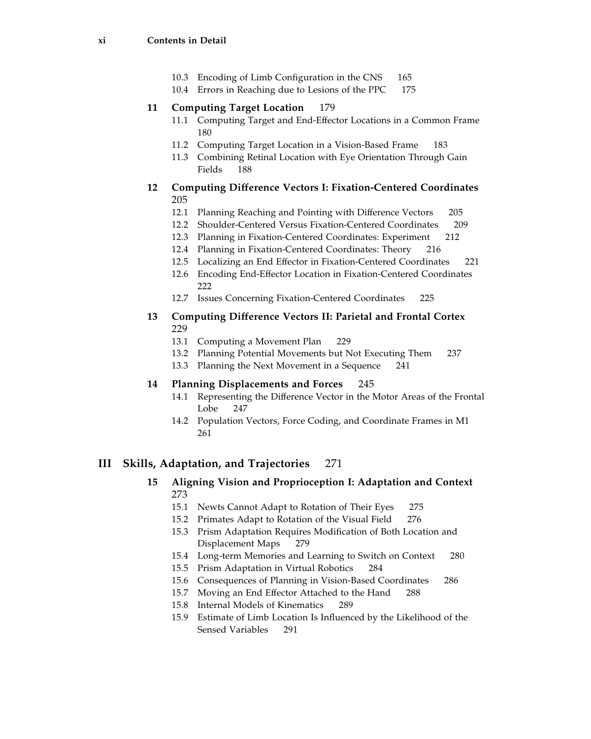- 10.3 Encoding of Limb Configuration in the CNS 165
- 10.4 Errors in Reaching due to Lesions of the PPC 175

#### [11 Computing Target Location](#page--1-0) 179

- 11.1 Computing Target and End-Effector Locations in a Common Frame 180
- 11.2 Computing Target Location in a Vision-Based Frame 183
- 11.3 Combining Retinal Location with Eye Orientation Through Gain Fields 188
- [12 Computing Difference Vectors I:](#page--1-0) Fixation-Centered Coordinates 205
	- 12.1 Planning Reaching and Pointing with Difference Vectors 205
	- 12.2 Shoulder-Centered Versus Fixation-Centered Coordinates 209
	- 12.3 Planning in Fixation-Centered Coordinates: Experiment 212
	- 12.4 Planning in Fixation-Centered Coordinates: Theory 216
	- 12.5 Localizing an End Effector in Fixation-Centered Coordinates 221
	- 12.6 Encoding End-Effector Location in Fixation-Centered Coordinates 222
	- 12.7 Issues Concerning Fixation-Centered Coordinates 225
- [13 Computing Difference Vectors](#page--1-0) II: Parietal and Frontal Cortex 229
	- 13.1 Computing a Movement Plan 229
	- 13.2 Planning Potential Movements but Not Executing Them 237
	- 13.3 Planning the Next Movement in a Sequence 241

#### [14 Planning Displacements and Forces](#page--1-0) 245

- 14.1 Representing the Difference Vector in the Motor Areas of the Frontal Lobe 247
- 14.2 Population Vectors, Force Coding, and Coordinate Frames in M1 261

### [III Skills, Adaptation, and Trajectories](#page--1-0) 271

- [15 Aligning Vision and Proprioception I: Adaptation and Context](#page--1-0) 273
	- 15.1 Newts Cannot Adapt to Rotation of Their Eyes 275
	- 15.2 Primates Adapt to Rotation of the Visual Field 276
	- 15.3 Prism Adaptation Requires Modification of Both Location and Displacement Maps 279
	- 15.4 Long-term Memories and Learning to Switch on Context 280
	- 15.5 Prism Adaptation in Virtual Robotics 284
	- 15.6 Consequences of Planning in Vision-Based Coordinates 286
	- 15.7 Moving an End Effector Attached to the Hand 288
	- 15.8 Internal Models of Kinematics 289
	- 15.9 Estimate of Limb Location Is Influenced by the Likelihood of the Sensed Variables 291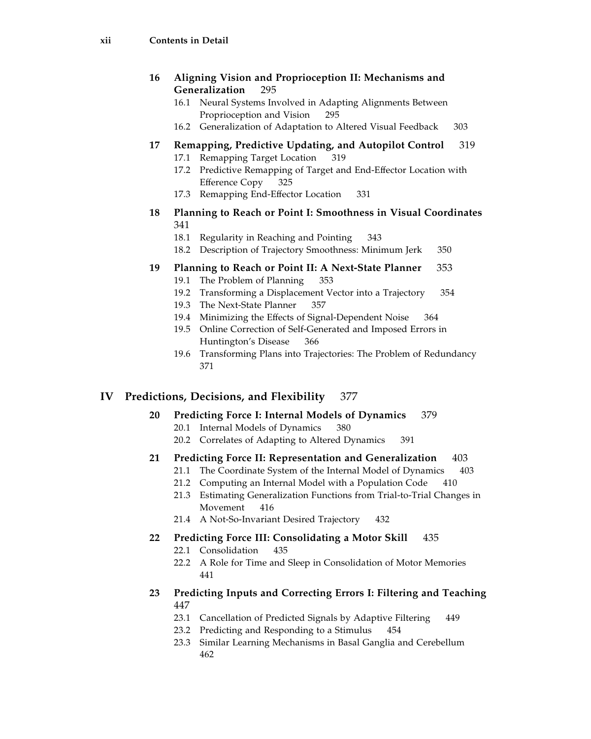# [16 Aligning Vision and Proprioception II: Mechanisms and](#page--1-0) Generalization 295

- 16.1 Neural Systems Involved in Adapting Alignments Between Proprioception and Vision 295
- 16.2 Generalization of Adaptation to Altered Visual Feedback 303

# [17 Remapping, Predictive Updating, and Autopilot Control](#page--1-0) 319

- 17.1 Remapping Target Location 319
- 17.2 Predictive Remapping of Target and End-Effector Location with Efference Copy 325
- 17.3 Remapping End-Effector Location 331
- [18 Planning to Reach or Point I: Smoothness in Visual Coordinates](#page--1-0) 341
	- 18.1 Regularity in Reaching and Pointing 343
	- 18.2 Description of Trajectory Smoothness: Minimum Jerk 350
- [19 Planning to Reach or Point](#page--1-0) II: A Next-State Planner 353
	- 19.1 The Problem of Planning 353
	- 19.2 Transforming a Displacement Vector into a Trajectory 354
	- 19.3 The Next-State Planner 357
	- 19.4 Minimizing the Effects of Signal-Dependent Noise 364
	- 19.5 Online Correction of Self-Generated and Imposed Errors in Huntington's Disease 366
	- 19.6 Transforming Plans into Trajectories: The Problem of Redundancy 371

# [IV Predictions, Decisions, and Flexibility](#page--1-0) 377

- [20 Predicting Force I: Internal Models of Dynamics](#page--1-0) 379
	- 20.1 Internal Models of Dynamics 380
	- 20.2 Correlates of Adapting to Altered Dynamics 391

### [21 Predicting Force II: Representation and Generalization](#page--1-0) 403

- 21.1 The Coordinate System of the Internal Model of Dynamics 403
- 21.2 Computing an Internal Model with a Population Code 410
- 21.3 Estimating Generalization Functions from Trial-to-Trial Changes in Movement 416
- 21.4 A Not-So-Invariant Desired Trajectory 432

# [22 Predicting Force III: Consolidating a Motor Skill](#page--1-0) 435

- 22.1 Consolidation 435
- 22.2 A Role for Time and Sleep in Consolidation of Motor Memories 441

# [23 Predicting Inputs and Correcting](#page--1-0) Errors I: Filtering and Teaching 447

- 23.1 Cancellation of Predicted Signals by Adaptive Filtering 449
- 23.2 Predicting and Responding to a Stimulus 454
- 23.3 Similar Learning Mechanisms in Basal Ganglia and Cerebellum 462